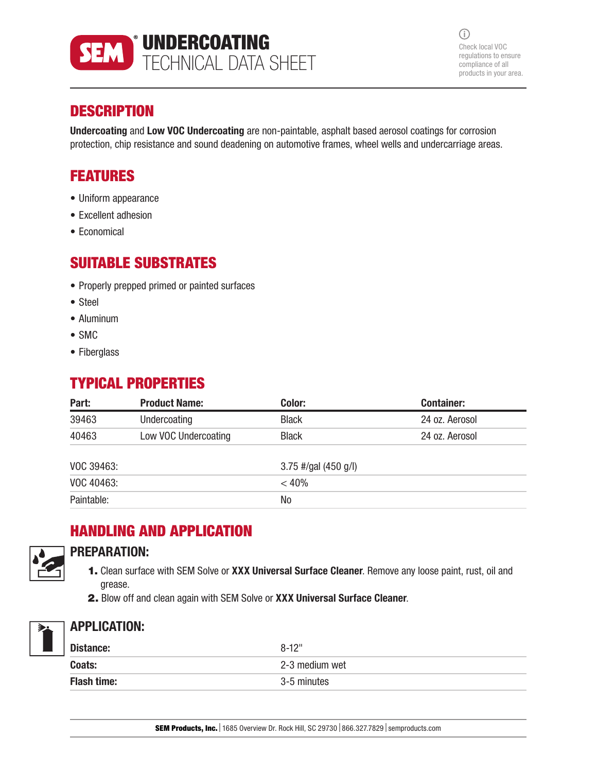

 $\bigcirc$ Check local VOC regulations to ensure compliance of all products in your area.

### **DESCRIPTION**

Undercoating and Low VOC Undercoating are non-paintable, asphalt based aerosol coatings for corrosion protection, chip resistance and sound deadening on automotive frames, wheel wells and undercarriage areas.

### FEATURES

- Uniform appearance
- Excellent adhesion
- Economical

### SUITABLE SUBSTRATES

- Properly prepped primed or painted surfaces
- Steel
- Aluminum
- SMC
- Fiberglass

## TYPICAL PROPERTIES

| Part:      | <b>Product Name:</b> | Color:                 | <b>Container:</b> |  |
|------------|----------------------|------------------------|-------------------|--|
| 39463      | Undercoating         | <b>Black</b>           | 24 oz. Aerosol    |  |
| 40463      | Low VOC Undercoating | <b>Black</b>           | 24 oz. Aerosol    |  |
| VOC 39463: |                      | $3.75$ #/gal (450 g/l) |                   |  |
| VOC 40463: |                      | < 40%                  |                   |  |
| Paintable: |                      | No                     |                   |  |

# HANDLING AND APPLICATION



#### PREPARATION:

- 1. Clean surface with SEM Solve or XXX Universal Surface Cleaner. Remove any loose paint, rust, oil and grease.
- 2. Blow off and clean again with SEM Solve or XXX Universal Surface Cleaner.



### APPLICATION:

| Distance:          | $8 - 12"$      |
|--------------------|----------------|
| Coats:             | 2-3 medium wet |
| <b>Flash time:</b> | 3-5 minutes    |